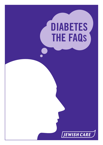# **DIABETES THE FAQS**

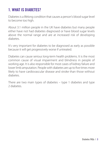# **1. WHAT IS DIABETES?**

Diabetes is a lifelong condition that causes a person's blood sugar level to become too high.

About 3.1 million people in the UK have diabetes but many people either have not had diabetes diagnosed or have blood sugar levels above the normal range and are at increased risk of developing diabetes.

It's very important for diabetes to be diagnosed as early as possible because it will get progressively worse if untreated.

Diabetes can cause serious long-term health problems. It is the most common cause of visual impairment and blindness in people of working age. It is also responsible for most cases of kidney failure and lower limb amputation. People with diabetes are up to five times more likely to have cardiovascular disease and stroke than those without diabetes.

There are two main types of diabetes – type 1 diabetes and type 2 diabetes.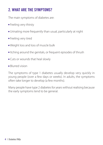# **2. WHAT ARE THE SYMPTOMS?**

The main symptoms of diabetes are:

- **Feeling very thirsty**
- <sup>n</sup> Urinating more frequently than usual, particularly at night
- **Feeling very tired**
- <sup>n</sup> Weight loss and loss of muscle bulk
- Itching around the genitals, or frequent episodes of thrush
- **Cuts or wounds that heal slowly**
- <sup>n</sup> Blurred vision

The symptoms of type 1 diabetes usually develop very quickly in young people (over a few days or weeks). In adults, the symptoms often take longer to develop (a few months).

Many people have type 2 diabetes for years without realising because the early symptoms tend to be general.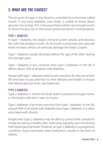# **3. WHAT ARE THE CAUSES?**

The amount of sugar in the blood is controlled by a hormone called insulin. If you have diabetes, your body is unable to break down glucose into energy. This is because there's either not enough insulin to move the glucose, or the insulin produced doesn't work properly.

#### **TYPE 1 DIABETES**

In type 1 diabetes, the body's immune system attacks and destroys the cells that produce insulin. As no insulin is produced, your glucose levels increase, which can seriously damage the body's organs.

Type 1 diabetes usually develops before the age of 40, often during the teenage years.

Type 1 diabetes is less common than type 2 diabetes. In the UK, it affects about 10% of all adults with diabetes.

People with type 1 diabetes need insulin injections for the rest of their life and have to pay attention to their lifestyle and health to ensure their blood glucose levels stay balanced.

#### **TYPE 2 DIABETES**

Type 2 diabetes is where the body doesn't produce enough insulin, or the body's cells don't react to insulin.

Type 2 diabetes is far more common than type 1 diabetes. In the UK, around 90% of all adults with diabetes have type 2 diabetes. It is often associated with obesity.

People with type 2 diabetes may be able to control their symptoms simply by eating a healthy diet, exercising regularly, and monitoring their blood glucose levels. However, as type 2 diabetes is a progressive condition, many eventually need medication, usually in the form of tablets.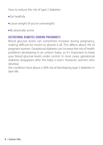How to reduce the risk of type 2 diabetes:

- $\blacksquare$  Eat healthily
- **Loose weight (if you're overweight)**
- $\blacksquare$  Be physically active

### **GESTATIONAL DIABETES (DURING PREGNANCY)**

Blood glucose levels can sometimes increase during pregnancy, making difficult for insulin to absorb it all. This affects about 5% of pregnant women. Gestational diabetes can increase the risk of health problems developing in an unborn baby, so it's important to keep your blood glucose levels under control. In most cases, gestational diabetes disappears after the baby is born. However, women who develop

the condition have about a 30% risk of developing type 2 diabetes in later life.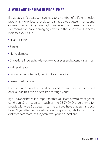# **4. WHAT ARE THE HEALTH PROBLEMS?**

If diabetes isn't treated, it can lead to a number of different health problems. High glucose levels can damage blood vessels, nerves and organs. Even a mildly raised glucose level that doesn't cause any symptoms can have damaging effects in the long term. Diabetes increases your risk of:

<sup>n</sup> Heart disease

- <sup>n</sup> Stroke
- Nerve damage
- Diabetic retinography damage to your eyes and potential sight loss
- Kidney disease
- $\blacksquare$  Foot ulcers potentially leading to amputation
- <sup>n</sup> Sexual dysfunction

Everyone with diabetes should be invited to have their eyes screened once a year. This can be accessed through your GP.

If you have diabetes, it is important that you learn how to manage the condition. Short courses – such as the DESMOND programme for people with type 2 diabetes – can help. If you have diabetes and you haven't yet attended an education programme, talk to your GP or diabetes care team, as they can refer you to a local one.